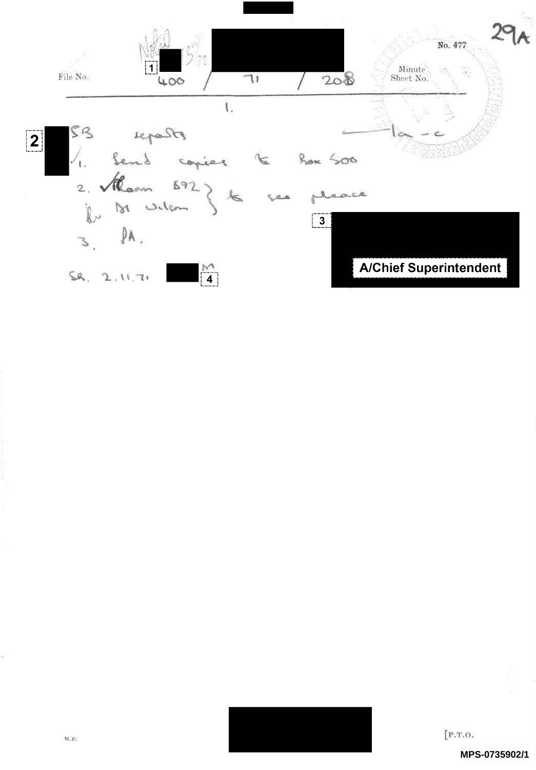

 $[$  P.T.O.

MPS-0735902/1

a.<br>Ak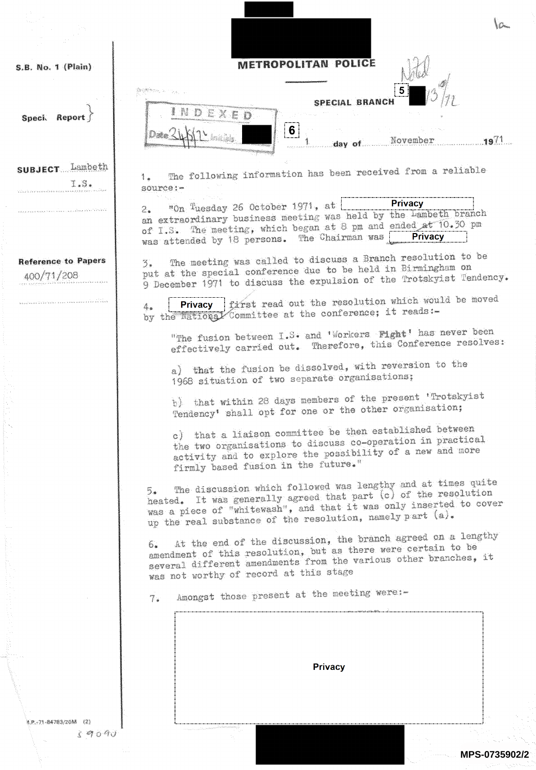| S.B. No. 1 (Plain)                       | <b>METROPOLITAN POLICE</b>                                                                                                                                                                                                                                                     |         |
|------------------------------------------|--------------------------------------------------------------------------------------------------------------------------------------------------------------------------------------------------------------------------------------------------------------------------------|---------|
|                                          |                                                                                                                                                                                                                                                                                |         |
| Report<br><b>Speci</b>                   | SPECIAL BRANCH                                                                                                                                                                                                                                                                 |         |
|                                          | 6 <sup>1</sup><br>November<br>day of                                                                                                                                                                                                                                           | $.19\%$ |
| <b>SUBJECT</b> Lambeth                   | The following information has been received from a reliable                                                                                                                                                                                                                    |         |
| I.S.                                     | 1.<br>source:-                                                                                                                                                                                                                                                                 |         |
|                                          | <b>Privacy</b><br>$m_{0n}$ Tuesday 26 October 1971, at $\lfloor$<br>2.<br>an extraordinary business meeting was held by the Lambeth branch<br>of I.S. The meeting, which began at 8 pm and ended at 10.30 pm<br><b>Privacy</b><br>was attended by 18 persons. The Chairman was |         |
| <b>Reference to Papers</b><br>400/71/208 | The meeting was called to discuss a Branch resolution to be<br>3.<br>put at the special conference due to be held in Birmingham on<br>9 December 1971 to discuss the expulsion of the Trotskyist Tendency.                                                                     |         |
|                                          | Privacy   first read out the resolution which would be moved<br>森。<br>by the national Committee at the conference; it reads:-                                                                                                                                                  |         |
|                                          | "The fusion between I.S. and 'Workers Fight' has never been<br>effectively carried out. Therefore, this Conference resolves:                                                                                                                                                   |         |
|                                          | a) that the fusion be dissolved, with reversion to the<br>1968 situation of two separate organisations;                                                                                                                                                                        |         |
|                                          | b) that within 28 days members of the present 'Trotskyist<br>Tendency' shall opt for one or the other organisation;                                                                                                                                                            |         |
|                                          | c) that a liaison committee be then established between<br>the two organisations to discuss co-operation in practical<br>activity and to explore the possibility of a new and more<br>firmly based fusion in the future."                                                      |         |
|                                          | The discussion which followed was lengthy and at times quite<br>5.<br>heated. It was generally agreed that part (c) of the resolution<br>was a piece of "whitewash", and that it was only inserted to cover<br>up the real substance of the resolution, namely part (a).       |         |
|                                          | At the end of the discussion, the branch agreed on a lengthy<br>6.<br>amendment of this resolution, but as there were certain to be<br>several different amendments from the various other branches, it<br>was not worthy of record at this stage                              |         |
|                                          | Amongst those present at the meeting were:-<br>7.1                                                                                                                                                                                                                             |         |
|                                          |                                                                                                                                                                                                                                                                                |         |
|                                          |                                                                                                                                                                                                                                                                                |         |
|                                          |                                                                                                                                                                                                                                                                                |         |
|                                          | <b>Privacy</b>                                                                                                                                                                                                                                                                 |         |
|                                          |                                                                                                                                                                                                                                                                                |         |
|                                          |                                                                                                                                                                                                                                                                                |         |
| 4.P.-71-84783/20M (2)                    |                                                                                                                                                                                                                                                                                |         |

**MPS-0735902/2**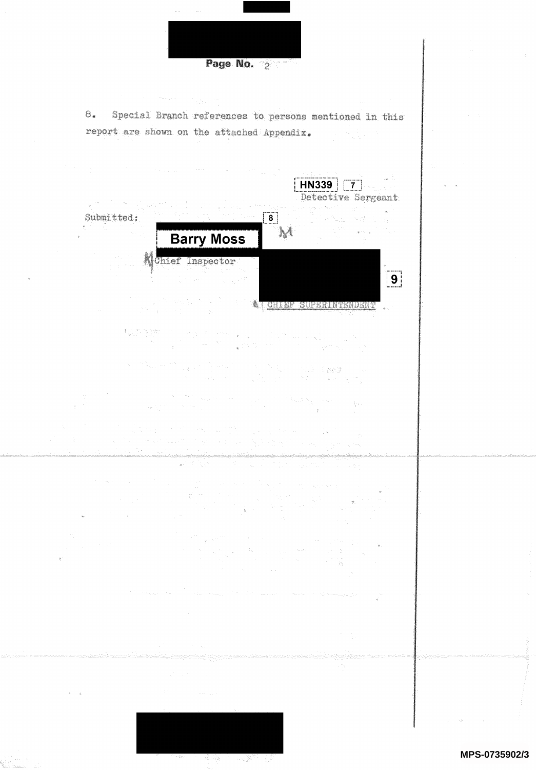Page No. 2  $8.$ Special Branch references to persons mentioned in this report are shown on the attached Appendix.  $H N 339$   $7$ Detective Sergeant **(** ) ( ) ) ( ) Assembly <sub>and</sub> Submitted:  $\boxed{8}$ ್ಷ<br>ಸಂಸ್ಥೆ ಸಂಶ  $\boldsymbol{\mathcal{N}}$ **Barry Moss** Mchief Inspector  $\boxed{9}$ A CHIEF SUPERINTENDENT  $\sim$ a na katika wa Tanzania  $\sim$   $\sim$  $\label{eq:2.1} \mathcal{L}(\mathcal{L}^{(1)}) = \sum_{i=1}^n \mathcal{L}(\mathcal{L}^{(1)}) \mathcal{L}(\mathcal{L}^{(1)})$  $\frac{1}{2}$ 

MPS-0735902/3